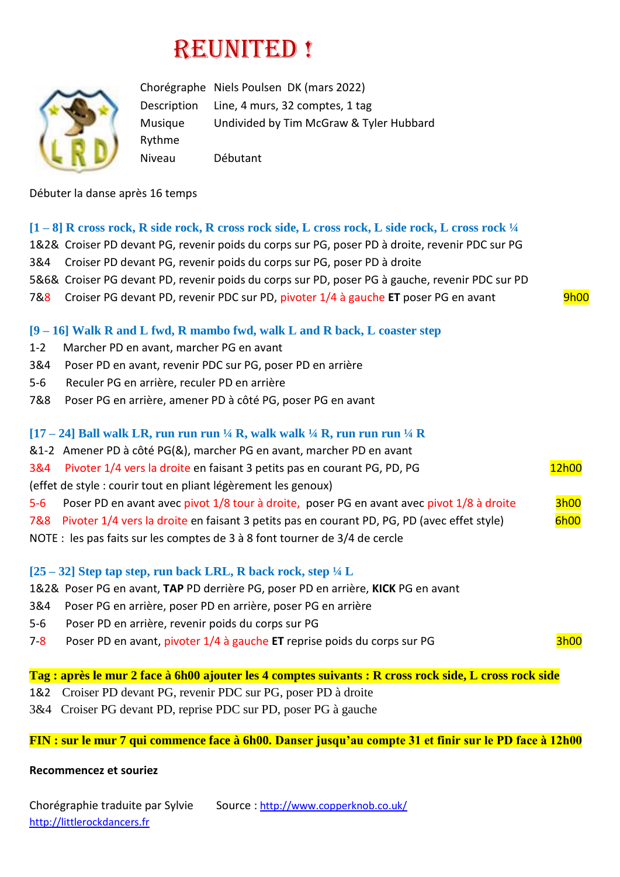# REUNITED !



Chorégraphe Niels Poulsen DK (mars 2022) Description Line, 4 murs, 32 comptes, 1 tag Musique Undivided by Tim McGraw & Tyler Hubbard Rythme Niveau Débutant

Débuter la danse après 16 temps

#### **[1 – 8] R cross rock, R side rock, R cross rock side, L cross rock, L side rock, L cross rock ¼**

- 1&2& Croiser PD devant PG, revenir poids du corps sur PG, poser PD à droite, revenir PDC sur PG
- 3&4 Croiser PD devant PG, revenir poids du corps sur PG, poser PD à droite
- 5&6& Croiser PG devant PD, revenir poids du corps sur PD, poser PG à gauche, revenir PDC sur PD
- 7&8 Croiser PG devant PD, revenir PDC sur PD, pivoter 1/4 à gauche **ET** poser PG en avant 9h00

#### **[9 – 16] Walk R and L fwd, R mambo fwd, walk L and R back, L coaster step**

- 1-2 Marcher PD en avant, marcher PG en avant
- 3&4 Poser PD en avant, revenir PDC sur PG, poser PD en arrière
- 5-6 Reculer PG en arrière, reculer PD en arrière
- 7&8 Poser PG en arrière, amener PD à côté PG, poser PG en avant

#### **[17 – 24] Ball walk LR, run run run ¼ R, walk walk ¼ R, run run run ¼ R**

- &1-2 Amener PD à côté PG(&), marcher PG en avant, marcher PD en avant
- 3&4 Pivoter 1/4 vers la droite en faisant 3 petits pas en courant PG, PD, PG 12h00
- (effet de style : courir tout en pliant légèrement les genoux)
- 5-6 Poser PD en avant avec pivot 1/8 tour à droite, poser PG en avant avec pivot 1/8 à droite 3h00
- 7&8 Pivoter 1/4 vers la droite en faisant 3 petits pas en courant PD, PG, PD (avec effet style) 6h00
- NOTE : les pas faits sur les comptes de 3 à 8 font tourner de 3/4 de cercle

## **[25 – 32] Step tap step, run back LRL, R back rock, step ¼ L**

- 1&2& Poser PG en avant, **TAP** PD derrière PG, poser PD en arrière, **KICK** PG en avant
- 3&4 Poser PG en arrière, poser PD en arrière, poser PG en arrière
- 5-6 Poser PD en arrière, revenir poids du corps sur PG
- 7-8 Poser PD en avant, pivoter 1/4 à gauche **ET** reprise poids du corps sur PG 3h00

# **Tag : après le mur 2 face à 6h00 ajouter les 4 comptes suivants : R cross rock side, L cross rock side**

- 1&2 Croiser PD devant PG, revenir PDC sur PG, poser PD à droite
- 3&4 Croiser PG devant PD, reprise PDC sur PD, poser PG à gauche

#### **FIN : sur le mur 7 qui commence face à 6h00. Danser jusqu'au compte 31 et finir sur le PD face à 12h00**

#### **Recommencez et souriez**

Chorégraphie traduite par Sylvie Source : [http://www.copperknob.co.uk/](https://www.copperknob.co.uk/)  [http://littlerockdancers.fr](http://littlerockdancers.fr/)